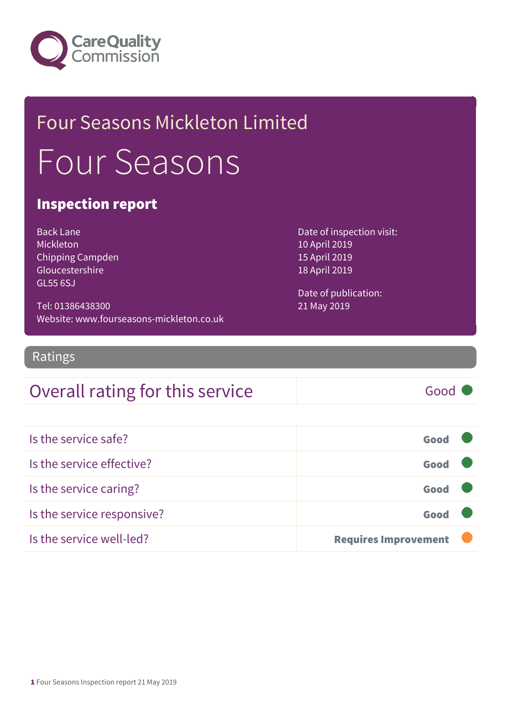

## Four Seasons Mickleton Limited Four Seasons

#### Inspection report

Back Lane Mickleton Chipping Campden Gloucestershire GL55 6SJ

Date of inspection visit: 10 April 2019 15 April 2019 18 April 2019

Date of publication: 21 May 2019

Tel: 01386438300 Website: www.fourseasons-mickleton.co.uk

Ratings

### Overall rating for this service and all the Good

Is the service safe? Good Is the service effective? Good Is the service caring? Good Is the service responsive? Good Is the service well-led? **Requires Improvement**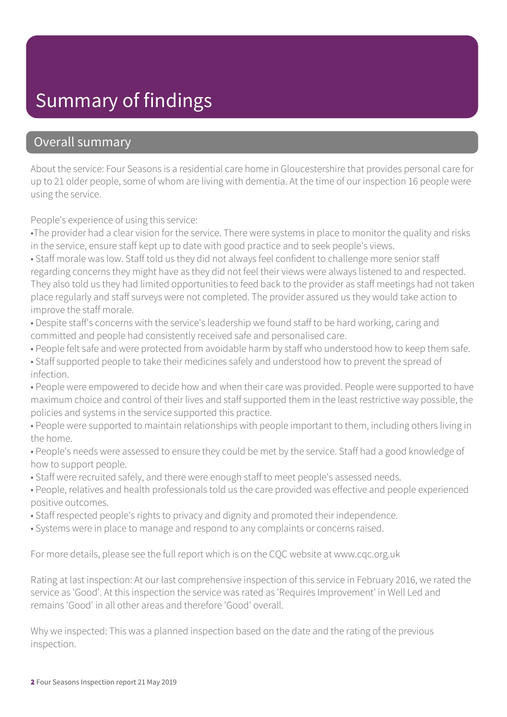### Summary of findings

#### Overall summary

About the service: Four Seasons is a residential care home in Gloucestershire that provides personal care for up to 21 older people, some of whom are living with dementia. At the time of our inspection 16 people were using the service.

People's experience of using this service:

•The provider had a clear vision for the service. There were systems in place to monitor the quality and risks in the service, ensure staff kept up to date with good practice and to seek people's views.

• Staff morale was low. Staff told us they did not always feel confident to challenge more senior staff regarding concerns they might have as they did not feel their views were always listened to and respected. They also told us they had limited opportunities to feed back to the provider as staff meetings had not taken place regularly and staff surveys were not completed. The provider assured us they would take action to improve the staff morale.

• Despite staff's concerns with the service's leadership we found staff to be hard working, caring and committed and people had consistently received safe and personalised care.

• People felt safe and were protected from avoidable harm by staff who understood how to keep them safe.

• Staff supported people to take their medicines safely and understood how to prevent the spread of infection.

• People were empowered to decide how and when their care was provided. People were supported to have maximum choice and control of their lives and staff supported them in the least restrictive way possible, the policies and systems in the service supported this practice.

• People were supported to maintain relationships with people important to them, including others living in the home.

• People's needs were assessed to ensure they could be met by the service. Staff had a good knowledge of how to support people.

• Staff were recruited safely, and there were enough staff to meet people's assessed needs.

• People, relatives and health professionals told us the care provided was effective and people experienced positive outcomes.

• Staff respected people's rights to privacy and dignity and promoted their independence.

• Systems were in place to manage and respond to any complaints or concerns raised.

For more details, please see the full report which is on the CQC website at www.cqc.org.uk

Rating at last inspection: At our last comprehensive inspection of this service in February 2016, we rated the service as 'Good'. At this inspection the service was rated as 'Requires Improvement' in Well Led and remains 'Good' in all other areas and therefore 'Good' overall.

Why we inspected: This was a planned inspection based on the date and the rating of the previous inspection.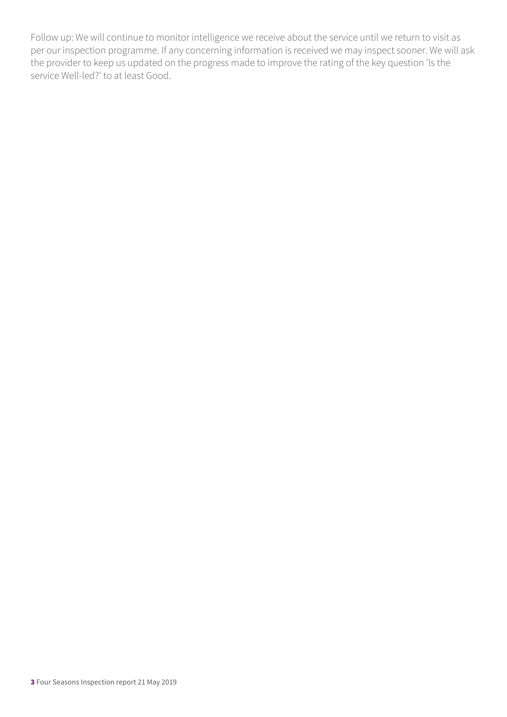Follow up: We will continue to monitor intelligence we receive about the service until we return to visit as per our inspection programme. If any concerning information is received we may inspect sooner. We will ask the provider to keep us updated on the progress made to improve the rating of the key question 'Is the service Well-led?' to at least Good.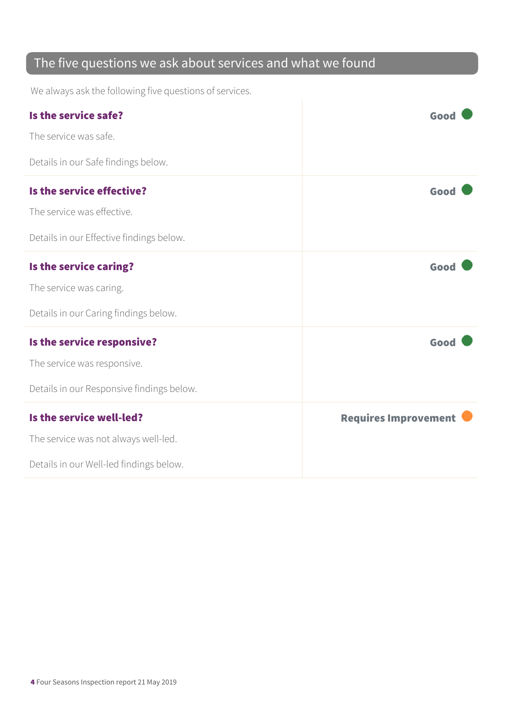### The five questions we ask about services and what we found

We always ask the following five questions of services.

| Is the service safe?                      | Good                        |
|-------------------------------------------|-----------------------------|
| The service was safe.                     |                             |
| Details in our Safe findings below.       |                             |
| Is the service effective?                 | Good                        |
| The service was effective.                |                             |
| Details in our Effective findings below.  |                             |
| Is the service caring?                    | Good                        |
| The service was caring.                   |                             |
| Details in our Caring findings below.     |                             |
| Is the service responsive?                | Good                        |
| The service was responsive.               |                             |
| Details in our Responsive findings below. |                             |
| Is the service well-led?                  | <b>Requires Improvement</b> |
| The service was not always well-led.      |                             |
| Details in our Well-led findings below.   |                             |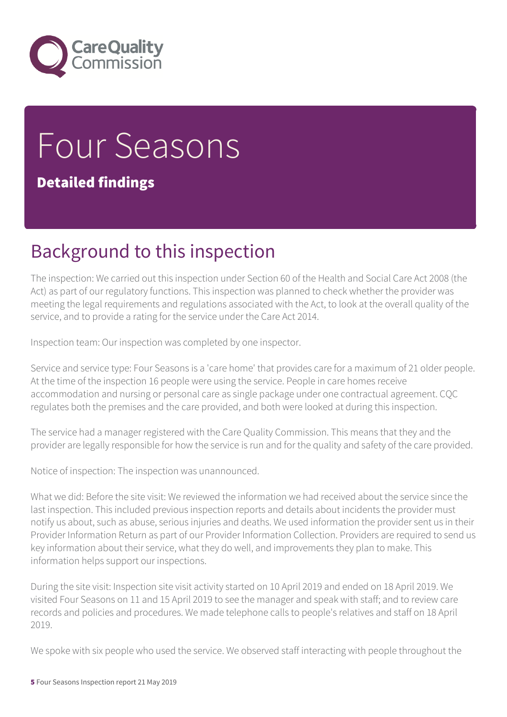

# Four Seasons

Detailed findings

### Background to this inspection

The inspection: We carried out this inspection under Section 60 of the Health and Social Care Act 2008 (the Act) as part of our regulatory functions. This inspection was planned to check whether the provider was meeting the legal requirements and regulations associated with the Act, to look at the overall quality of the service, and to provide a rating for the service under the Care Act 2014.

Inspection team: Our inspection was completed by one inspector.

Service and service type: Four Seasons is a 'care home' that provides care for a maximum of 21 older people. At the time of the inspection 16 people were using the service. People in care homes receive accommodation and nursing or personal care as single package under one contractual agreement. CQC regulates both the premises and the care provided, and both were looked at during this inspection.

The service had a manager registered with the Care Quality Commission. This means that they and the provider are legally responsible for how the service is run and for the quality and safety of the care provided.

Notice of inspection: The inspection was unannounced.

What we did: Before the site visit: We reviewed the information we had received about the service since the last inspection. This included previous inspection reports and details about incidents the provider must notify us about, such as abuse, serious injuries and deaths. We used information the provider sent us in their Provider Information Return as part of our Provider Information Collection. Providers are required to send us key information about their service, what they do well, and improvements they plan to make. This information helps support our inspections.

During the site visit: Inspection site visit activity started on 10 April 2019 and ended on 18 April 2019. We visited Four Seasons on 11 and 15 April 2019 to see the manager and speak with staff; and to review care records and policies and procedures. We made telephone calls to people's relatives and staff on 18 April 2019.

We spoke with six people who used the service. We observed staff interacting with people throughout the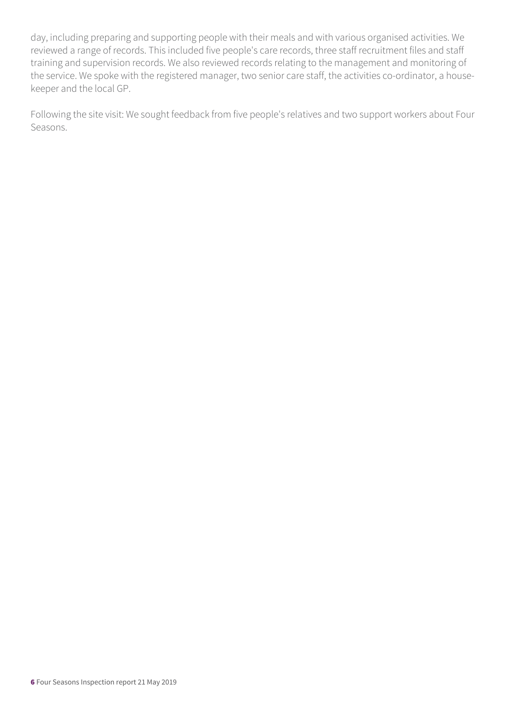day, including preparing and supporting people with their meals and with various organised activities. We reviewed a range of records. This included five people's care records, three staff recruitment files and staff training and supervision records. We also reviewed records relating to the management and monitoring of the service. We spoke with the registered manager, two senior care staff, the activities co-ordinator, a housekeeper and the local GP.

Following the site visit: We sought feedback from five people's relatives and two support workers about Four Seasons.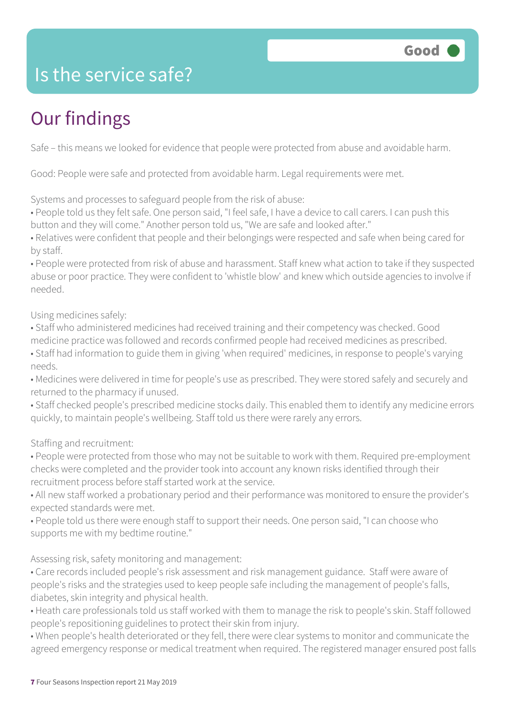### Is the service safe?

### Our findings

Safe – this means we looked for evidence that people were protected from abuse and avoidable harm.

Good: People were safe and protected from avoidable harm. Legal requirements were met.

Systems and processes to safeguard people from the risk of abuse:

• People told us they felt safe. One person said, "I feel safe, I have a device to call carers. I can push this button and they will come." Another person told us, "We are safe and looked after."

• Relatives were confident that people and their belongings were respected and safe when being cared for by staff.

• People were protected from risk of abuse and harassment. Staff knew what action to take if they suspected abuse or poor practice. They were confident to 'whistle blow' and knew which outside agencies to involve if needed.

Using medicines safely:

- Staff who administered medicines had received training and their competency was checked. Good medicine practice was followed and records confirmed people had received medicines as prescribed. • Staff had information to guide them in giving 'when required' medicines, in response to people's varying
- needs.
- Medicines were delivered in time for people's use as prescribed. They were stored safely and securely and returned to the pharmacy if unused.
- Staff checked people's prescribed medicine stocks daily. This enabled them to identify any medicine errors quickly, to maintain people's wellbeing. Staff told us there were rarely any errors.

#### Staffing and recruitment:

- People were protected from those who may not be suitable to work with them. Required pre-employment checks were completed and the provider took into account any known risks identified through their recruitment process before staff started work at the service.
- All new staff worked a probationary period and their performance was monitored to ensure the provider's expected standards were met.
- People told us there were enough staff to support their needs. One person said, "I can choose who supports me with my bedtime routine."

Assessing risk, safety monitoring and management:

• Care records included people's risk assessment and risk management guidance. Staff were aware of people's risks and the strategies used to keep people safe including the management of people's falls, diabetes, skin integrity and physical health.

- Heath care professionals told us staff worked with them to manage the risk to people's skin. Staff followed people's repositioning guidelines to protect their skin from injury.
- When people's health deteriorated or they fell, there were clear systems to monitor and communicate the agreed emergency response or medical treatment when required. The registered manager ensured post falls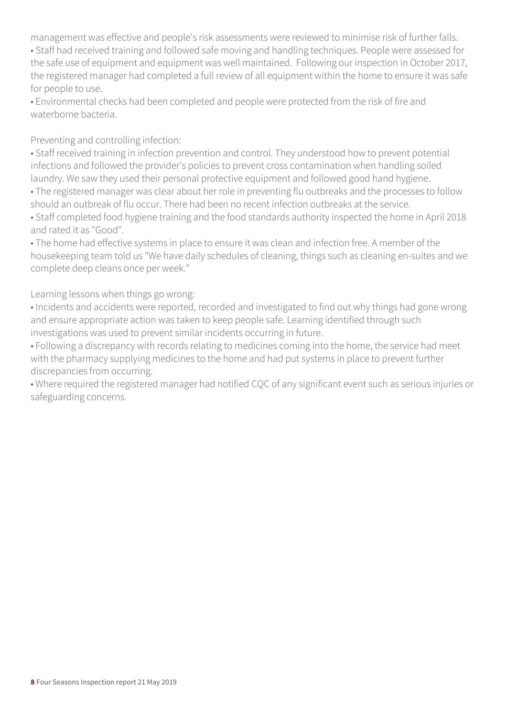management was effective and people's risk assessments were reviewed to minimise risk of further falls.

• Staff had received training and followed safe moving and handling techniques. People were assessed for the safe use of equipment and equipment was well maintained. Following our inspection in October 2017, the registered manager had completed a full review of all equipment within the home to ensure it was safe for people to use.

• Environmental checks had been completed and people were protected from the risk of fire and waterborne bacteria.

Preventing and controlling infection:

• Staff received training in infection prevention and control. They understood how to prevent potential infections and followed the provider's policies to prevent cross contamination when handling soiled laundry. We saw they used their personal protective equipment and followed good hand hygiene.

• The registered manager was clear about her role in preventing flu outbreaks and the processes to follow should an outbreak of flu occur. There had been no recent infection outbreaks at the service.

• Staff completed food hygiene training and the food standards authority inspected the home in April 2018 and rated it as "Good".

• The home had effective systems in place to ensure it was clean and infection free. A member of the housekeeping team told us "We have daily schedules of cleaning, things such as cleaning en-suites and we complete deep cleans once per week."

Learning lessons when things go wrong:

• Incidents and accidents were reported, recorded and investigated to find out why things had gone wrong and ensure appropriate action was taken to keep people safe. Learning identified through such investigations was used to prevent similar incidents occurring in future.

• Following a discrepancy with records relating to medicines coming into the home, the service had meet with the pharmacy supplying medicines to the home and had put systems in place to prevent further discrepancies from occurring.

• Where required the registered manager had notified CQC of any significant event such as serious injuries or safeguarding concerns.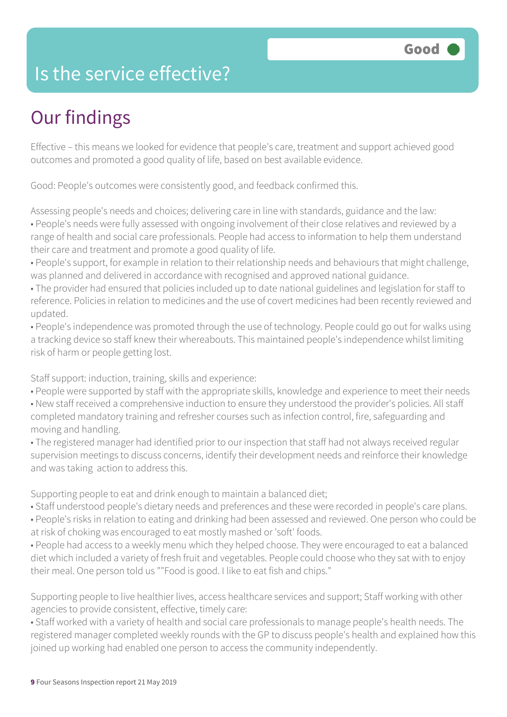### Is the service effective?

### Our findings

Effective – this means we looked for evidence that people's care, treatment and support achieved good outcomes and promoted a good quality of life, based on best available evidence.

Good: People's outcomes were consistently good, and feedback confirmed this.

Assessing people's needs and choices; delivering care in line with standards, guidance and the law: • People's needs were fully assessed with ongoing involvement of their close relatives and reviewed by a range of health and social care professionals. People had access to information to help them understand their care and treatment and promote a good quality of life.

- People's support, for example in relation to their relationship needs and behaviours that might challenge, was planned and delivered in accordance with recognised and approved national guidance.
- The provider had ensured that policies included up to date national guidelines and legislation for staff to reference. Policies in relation to medicines and the use of covert medicines had been recently reviewed and updated.
- People's independence was promoted through the use of technology. People could go out for walks using a tracking device so staff knew their whereabouts. This maintained people's independence whilst limiting risk of harm or people getting lost.

Staff support: induction, training, skills and experience:

- People were supported by staff with the appropriate skills, knowledge and experience to meet their needs
- New staff received a comprehensive induction to ensure they understood the provider's policies. All staff completed mandatory training and refresher courses such as infection control, fire, safeguarding and moving and handling.
- The registered manager had identified prior to our inspection that staff had not always received regular supervision meetings to discuss concerns, identify their development needs and reinforce their knowledge and was taking action to address this.

Supporting people to eat and drink enough to maintain a balanced diet;

- Staff understood people's dietary needs and preferences and these were recorded in people's care plans.
- People's risks in relation to eating and drinking had been assessed and reviewed. One person who could be at risk of choking was encouraged to eat mostly mashed or 'soft' foods.
- People had access to a weekly menu which they helped choose. They were encouraged to eat a balanced diet which included a variety of fresh fruit and vegetables. People could choose who they sat with to enjoy their meal. One person told us ""Food is good. I like to eat fish and chips."

Supporting people to live healthier lives, access healthcare services and support; Staff working with other agencies to provide consistent, effective, timely care:

• Staff worked with a variety of health and social care professionals to manage people's health needs. The registered manager completed weekly rounds with the GP to discuss people's health and explained how this joined up working had enabled one person to access the community independently.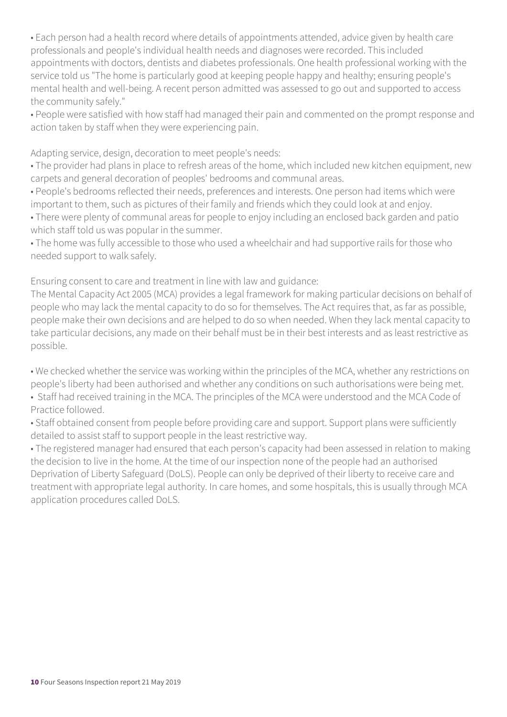• Each person had a health record where details of appointments attended, advice given by health care professionals and people's individual health needs and diagnoses were recorded. This included appointments with doctors, dentists and diabetes professionals. One health professional working with the service told us "The home is particularly good at keeping people happy and healthy; ensuring people's mental health and well-being. A recent person admitted was assessed to go out and supported to access the community safely."

• People were satisfied with how staff had managed their pain and commented on the prompt response and action taken by staff when they were experiencing pain.

Adapting service, design, decoration to meet people's needs:

• The provider had plans in place to refresh areas of the home, which included new kitchen equipment, new carpets and general decoration of peoples' bedrooms and communal areas.

• People's bedrooms reflected their needs, preferences and interests. One person had items which were important to them, such as pictures of their family and friends which they could look at and enjoy.

• There were plenty of communal areas for people to enjoy including an enclosed back garden and patio which staff told us was popular in the summer.

• The home was fully accessible to those who used a wheelchair and had supportive rails for those who needed support to walk safely.

Ensuring consent to care and treatment in line with law and guidance:

The Mental Capacity Act 2005 (MCA) provides a legal framework for making particular decisions on behalf of people who may lack the mental capacity to do so for themselves. The Act requires that, as far as possible, people make their own decisions and are helped to do so when needed. When they lack mental capacity to take particular decisions, any made on their behalf must be in their best interests and as least restrictive as possible.

• We checked whether the service was working within the principles of the MCA, whether any restrictions on people's liberty had been authorised and whether any conditions on such authorisations were being met.

• Staff had received training in the MCA. The principles of the MCA were understood and the MCA Code of Practice followed.

• Staff obtained consent from people before providing care and support. Support plans were sufficiently detailed to assist staff to support people in the least restrictive way.

• The registered manager had ensured that each person's capacity had been assessed in relation to making the decision to live in the home. At the time of our inspection none of the people had an authorised Deprivation of Liberty Safeguard (DoLS). People can only be deprived of their liberty to receive care and treatment with appropriate legal authority. In care homes, and some hospitals, this is usually through MCA application procedures called DoLS.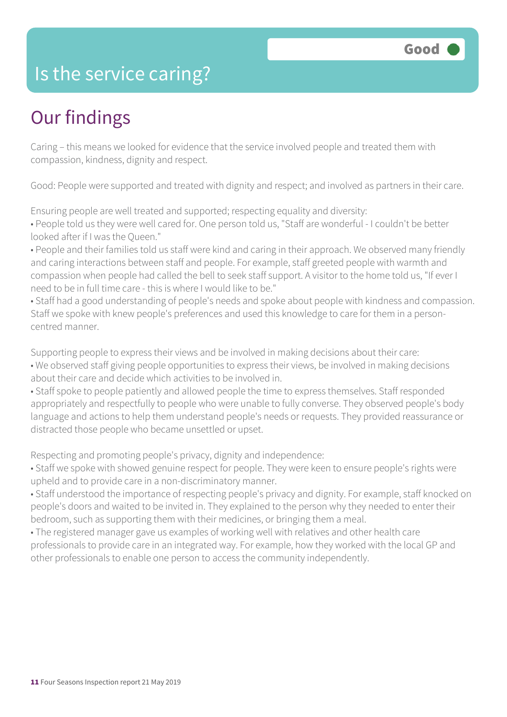### Is the service caring?

### Our findings

Caring – this means we looked for evidence that the service involved people and treated them with compassion, kindness, dignity and respect.

Good: People were supported and treated with dignity and respect; and involved as partners in their care.

Ensuring people are well treated and supported; respecting equality and diversity:

• People told us they were well cared for. One person told us, "Staff are wonderful - I couldn't be better looked after if I was the Queen."

• People and their families told us staff were kind and caring in their approach. We observed many friendly and caring interactions between staff and people. For example, staff greeted people with warmth and compassion when people had called the bell to seek staff support. A visitor to the home told us, "If ever I need to be in full time care - this is where I would like to be."

• Staff had a good understanding of people's needs and spoke about people with kindness and compassion. Staff we spoke with knew people's preferences and used this knowledge to care for them in a personcentred manner.

Supporting people to express their views and be involved in making decisions about their care:

• We observed staff giving people opportunities to express their views, be involved in making decisions about their care and decide which activities to be involved in.

• Staff spoke to people patiently and allowed people the time to express themselves. Staff responded appropriately and respectfully to people who were unable to fully converse. They observed people's body language and actions to help them understand people's needs or requests. They provided reassurance or distracted those people who became unsettled or upset.

Respecting and promoting people's privacy, dignity and independence:

• Staff we spoke with showed genuine respect for people. They were keen to ensure people's rights were upheld and to provide care in a non-discriminatory manner.

• Staff understood the importance of respecting people's privacy and dignity. For example, staff knocked on people's doors and waited to be invited in. They explained to the person why they needed to enter their bedroom, such as supporting them with their medicines, or bringing them a meal.

• The registered manager gave us examples of working well with relatives and other health care professionals to provide care in an integrated way. For example, how they worked with the local GP and other professionals to enable one person to access the community independently.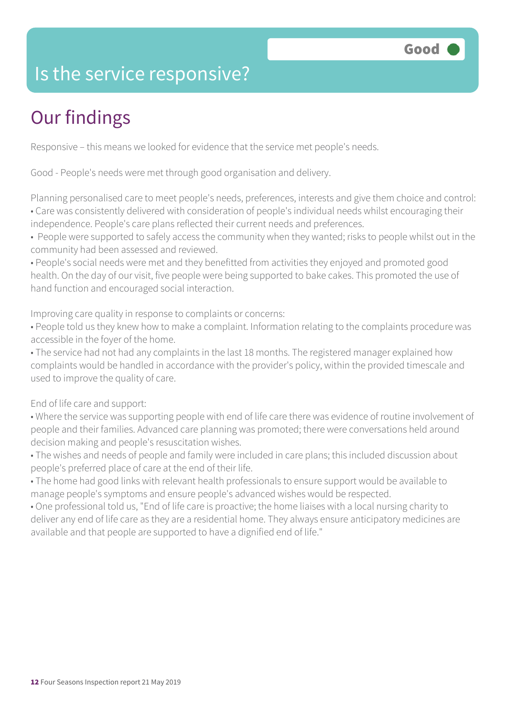### Is the service responsive?

### Our findings

Responsive – this means we looked for evidence that the service met people's needs.

Good - People's needs were met through good organisation and delivery.

Planning personalised care to meet people's needs, preferences, interests and give them choice and control: • Care was consistently delivered with consideration of people's individual needs whilst encouraging their independence. People's care plans reflected their current needs and preferences.

• People were supported to safely access the community when they wanted; risks to people whilst out in the community had been assessed and reviewed.

• People's social needs were met and they benefitted from activities they enjoyed and promoted good health. On the day of our visit, five people were being supported to bake cakes. This promoted the use of hand function and encouraged social interaction.

Improving care quality in response to complaints or concerns:

• People told us they knew how to make a complaint. Information relating to the complaints procedure was accessible in the foyer of the home.

• The service had not had any complaints in the last 18 months. The registered manager explained how complaints would be handled in accordance with the provider's policy, within the provided timescale and used to improve the quality of care.

#### End of life care and support:

• Where the service was supporting people with end of life care there was evidence of routine involvement of people and their families. Advanced care planning was promoted; there were conversations held around decision making and people's resuscitation wishes.

• The wishes and needs of people and family were included in care plans; this included discussion about people's preferred place of care at the end of their life.

• The home had good links with relevant health professionals to ensure support would be available to manage people's symptoms and ensure people's advanced wishes would be respected.

• One professional told us, "End of life care is proactive; the home liaises with a local nursing charity to deliver any end of life care as they are a residential home. They always ensure anticipatory medicines are available and that people are supported to have a dignified end of life."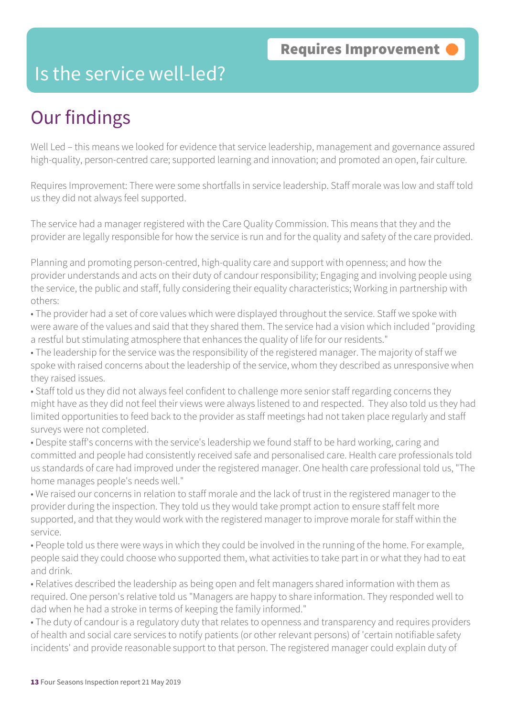### Is the service well-led?

### Our findings

Well Led – this means we looked for evidence that service leadership, management and governance assured high-quality, person-centred care; supported learning and innovation; and promoted an open, fair culture.

Requires Improvement: There were some shortfalls in service leadership. Staff morale was low and staff told us they did not always feel supported.

The service had a manager registered with the Care Quality Commission. This means that they and the provider are legally responsible for how the service is run and for the quality and safety of the care provided.

Planning and promoting person-centred, high-quality care and support with openness; and how the provider understands and acts on their duty of candour responsibility; Engaging and involving people using the service, the public and staff, fully considering their equality characteristics; Working in partnership with others:

• The provider had a set of core values which were displayed throughout the service. Staff we spoke with were aware of the values and said that they shared them. The service had a vision which included "providing a restful but stimulating atmosphere that enhances the quality of life for our residents."

• The leadership for the service was the responsibility of the registered manager. The majority of staff we spoke with raised concerns about the leadership of the service, whom they described as unresponsive when they raised issues.

• Staff told us they did not always feel confident to challenge more senior staff regarding concerns they might have as they did not feel their views were always listened to and respected. They also told us they had limited opportunities to feed back to the provider as staff meetings had not taken place regularly and staff surveys were not completed.

• Despite staff's concerns with the service's leadership we found staff to be hard working, caring and committed and people had consistently received safe and personalised care. Health care professionals told us standards of care had improved under the registered manager. One health care professional told us, "The home manages people's needs well."

• We raised our concerns in relation to staff morale and the lack of trust in the registered manager to the provider during the inspection. They told us they would take prompt action to ensure staff felt more supported, and that they would work with the registered manager to improve morale for staff within the service.

• People told us there were ways in which they could be involved in the running of the home. For example, people said they could choose who supported them, what activities to take part in or what they had to eat and drink.

• Relatives described the leadership as being open and felt managers shared information with them as required. One person's relative told us "Managers are happy to share information. They responded well to dad when he had a stroke in terms of keeping the family informed."

• The duty of candour is a regulatory duty that relates to openness and transparency and requires providers of health and social care services to notify patients (or other relevant persons) of 'certain notifiable safety incidents' and provide reasonable support to that person. The registered manager could explain duty of